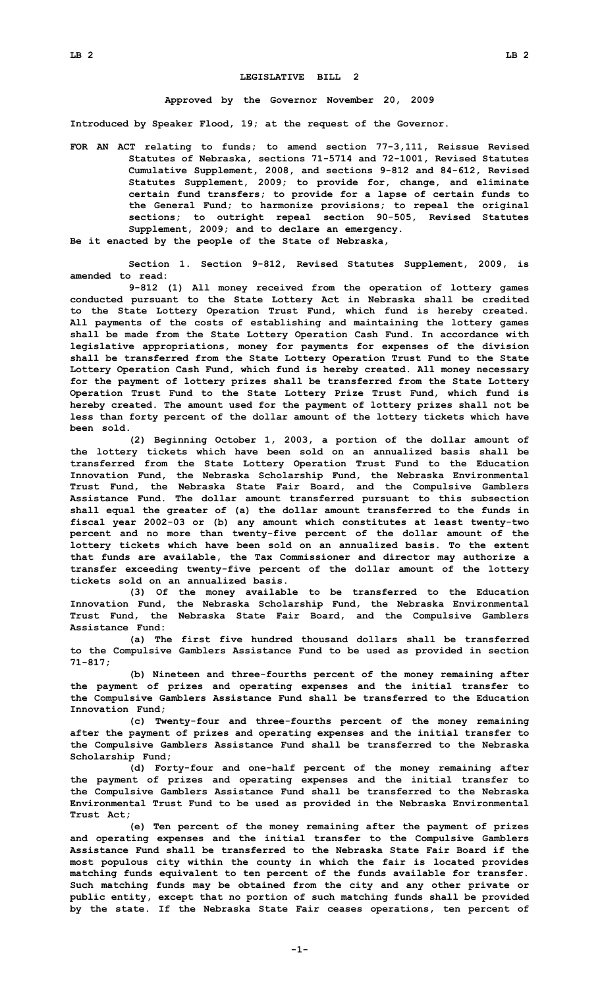## **LEGISLATIVE BILL 2**

## **Approved by the Governor November 20, 2009**

**Introduced by Speaker Flood, 19; at the request of the Governor.**

**FOR AN ACT relating to funds; to amend section 77-3,111, Reissue Revised Statutes of Nebraska, sections 71-5714 and 72-1001, Revised Statutes Cumulative Supplement, 2008, and sections 9-812 and 84-612, Revised Statutes Supplement, 2009; to provide for, change, and eliminate certain fund transfers; to provide for <sup>a</sup> lapse of certain funds to the General Fund; to harmonize provisions; to repeal the original sections; to outright repeal section 90-505, Revised Statutes Supplement, 2009; and to declare an emergency.**

**Be it enacted by the people of the State of Nebraska,**

**Section 1. Section 9-812, Revised Statutes Supplement, 2009, is amended to read:**

**9-812 (1) All money received from the operation of lottery games conducted pursuant to the State Lottery Act in Nebraska shall be credited to the State Lottery Operation Trust Fund, which fund is hereby created. All payments of the costs of establishing and maintaining the lottery games shall be made from the State Lottery Operation Cash Fund. In accordance with legislative appropriations, money for payments for expenses of the division shall be transferred from the State Lottery Operation Trust Fund to the State Lottery Operation Cash Fund, which fund is hereby created. All money necessary for the payment of lottery prizes shall be transferred from the State Lottery Operation Trust Fund to the State Lottery Prize Trust Fund, which fund is hereby created. The amount used for the payment of lottery prizes shall not be less than forty percent of the dollar amount of the lottery tickets which have been sold.**

**(2) Beginning October 1, 2003, <sup>a</sup> portion of the dollar amount of the lottery tickets which have been sold on an annualized basis shall be transferred from the State Lottery Operation Trust Fund to the Education Innovation Fund, the Nebraska Scholarship Fund, the Nebraska Environmental Trust Fund, the Nebraska State Fair Board, and the Compulsive Gamblers Assistance Fund. The dollar amount transferred pursuant to this subsection shall equal the greater of (a) the dollar amount transferred to the funds in fiscal year 2002-03 or (b) any amount which constitutes at least twenty-two percent and no more than twenty-five percent of the dollar amount of the lottery tickets which have been sold on an annualized basis. To the extent that funds are available, the Tax Commissioner and director may authorize <sup>a</sup> transfer exceeding twenty-five percent of the dollar amount of the lottery tickets sold on an annualized basis.**

**(3) Of the money available to be transferred to the Education Innovation Fund, the Nebraska Scholarship Fund, the Nebraska Environmental Trust Fund, the Nebraska State Fair Board, and the Compulsive Gamblers Assistance Fund:**

**(a) The first five hundred thousand dollars shall be transferred to the Compulsive Gamblers Assistance Fund to be used as provided in section 71-817;**

**(b) Nineteen and three-fourths percent of the money remaining after the payment of prizes and operating expenses and the initial transfer to the Compulsive Gamblers Assistance Fund shall be transferred to the Education Innovation Fund;**

**(c) Twenty-four and three-fourths percent of the money remaining after the payment of prizes and operating expenses and the initial transfer to the Compulsive Gamblers Assistance Fund shall be transferred to the Nebraska Scholarship Fund;**

**(d) Forty-four and one-half percent of the money remaining after the payment of prizes and operating expenses and the initial transfer to the Compulsive Gamblers Assistance Fund shall be transferred to the Nebraska Environmental Trust Fund to be used as provided in the Nebraska Environmental Trust Act;**

**(e) Ten percent of the money remaining after the payment of prizes and operating expenses and the initial transfer to the Compulsive Gamblers Assistance Fund shall be transferred to the Nebraska State Fair Board if the most populous city within the county in which the fair is located provides matching funds equivalent to ten percent of the funds available for transfer. Such matching funds may be obtained from the city and any other private or public entity, except that no portion of such matching funds shall be provided by the state. If the Nebraska State Fair ceases operations, ten percent of**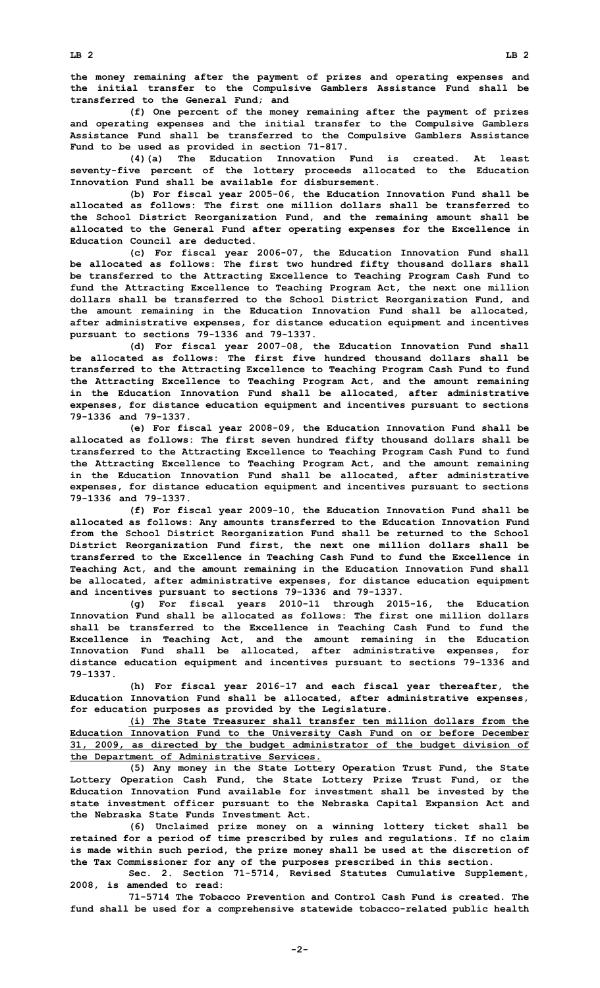**the money remaining after the payment of prizes and operating expenses and the initial transfer to the Compulsive Gamblers Assistance Fund shall be transferred to the General Fund; and**

**(f) One percent of the money remaining after the payment of prizes and operating expenses and the initial transfer to the Compulsive Gamblers Assistance Fund shall be transferred to the Compulsive Gamblers Assistance Fund to be used as provided in section 71-817.**

**(4)(a) The Education Innovation Fund is created. At least seventy-five percent of the lottery proceeds allocated to the Education Innovation Fund shall be available for disbursement.**

**(b) For fiscal year 2005-06, the Education Innovation Fund shall be allocated as follows: The first one million dollars shall be transferred to the School District Reorganization Fund, and the remaining amount shall be allocated to the General Fund after operating expenses for the Excellence in Education Council are deducted.**

**(c) For fiscal year 2006-07, the Education Innovation Fund shall be allocated as follows: The first two hundred fifty thousand dollars shall be transferred to the Attracting Excellence to Teaching Program Cash Fund to fund the Attracting Excellence to Teaching Program Act, the next one million dollars shall be transferred to the School District Reorganization Fund, and the amount remaining in the Education Innovation Fund shall be allocated, after administrative expenses, for distance education equipment and incentives pursuant to sections 79-1336 and 79-1337.**

**(d) For fiscal year 2007-08, the Education Innovation Fund shall be allocated as follows: The first five hundred thousand dollars shall be transferred to the Attracting Excellence to Teaching Program Cash Fund to fund the Attracting Excellence to Teaching Program Act, and the amount remaining in the Education Innovation Fund shall be allocated, after administrative expenses, for distance education equipment and incentives pursuant to sections 79-1336 and 79-1337.**

**(e) For fiscal year 2008-09, the Education Innovation Fund shall be allocated as follows: The first seven hundred fifty thousand dollars shall be transferred to the Attracting Excellence to Teaching Program Cash Fund to fund the Attracting Excellence to Teaching Program Act, and the amount remaining in the Education Innovation Fund shall be allocated, after administrative expenses, for distance education equipment and incentives pursuant to sections 79-1336 and 79-1337.**

**(f) For fiscal year 2009-10, the Education Innovation Fund shall be allocated as follows: Any amounts transferred to the Education Innovation Fund from the School District Reorganization Fund shall be returned to the School District Reorganization Fund first, the next one million dollars shall be transferred to the Excellence in Teaching Cash Fund to fund the Excellence in Teaching Act, and the amount remaining in the Education Innovation Fund shall be allocated, after administrative expenses, for distance education equipment and incentives pursuant to sections 79-1336 and 79-1337.**

**(g) For fiscal years 2010-11 through 2015-16, the Education Innovation Fund shall be allocated as follows: The first one million dollars shall be transferred to the Excellence in Teaching Cash Fund to fund the Excellence in Teaching Act, and the amount remaining in the Education Innovation Fund shall be allocated, after administrative expenses, for distance education equipment and incentives pursuant to sections 79-1336 and 79-1337.**

**(h) For fiscal year 2016-17 and each fiscal year thereafter, the Education Innovation Fund shall be allocated, after administrative expenses, for education purposes as provided by the Legislature.**

**(i) The State Treasurer shall transfer ten million dollars from the Education Innovation Fund to the University Cash Fund on or before December 31, 2009, as directed by the budget administrator of the budget division of the Department of Administrative Services.**

**(5) Any money in the State Lottery Operation Trust Fund, the State Lottery Operation Cash Fund, the State Lottery Prize Trust Fund, or the Education Innovation Fund available for investment shall be invested by the state investment officer pursuant to the Nebraska Capital Expansion Act and the Nebraska State Funds Investment Act.**

**(6) Unclaimed prize money on <sup>a</sup> winning lottery ticket shall be retained for <sup>a</sup> period of time prescribed by rules and regulations. If no claim is made within such period, the prize money shall be used at the discretion of the Tax Commissioner for any of the purposes prescribed in this section.**

**Sec. 2. Section 71-5714, Revised Statutes Cumulative Supplement, 2008, is amended to read:**

**71-5714 The Tobacco Prevention and Control Cash Fund is created. The fund shall be used for <sup>a</sup> comprehensive statewide tobacco-related public health**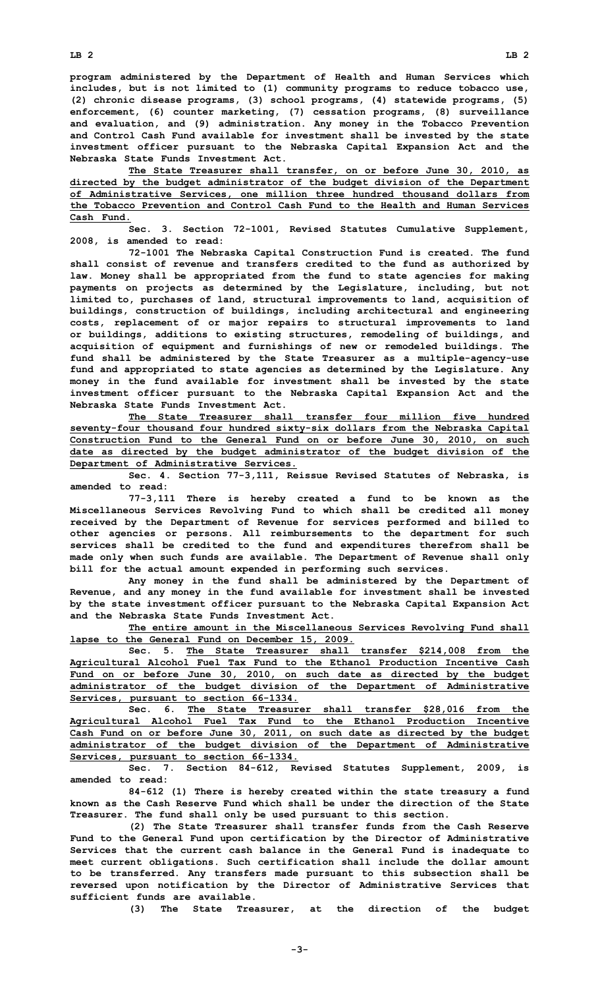**program administered by the Department of Health and Human Services which includes, but is not limited to (1) community programs to reduce tobacco use, (2) chronic disease programs, (3) school programs, (4) statewide programs, (5) enforcement, (6) counter marketing, (7) cessation programs, (8) surveillance and evaluation, and (9) administration. Any money in the Tobacco Prevention and Control Cash Fund available for investment shall be invested by the state investment officer pursuant to the Nebraska Capital Expansion Act and the Nebraska State Funds Investment Act.**

**The State Treasurer shall transfer, on or before June 30, 2010, as directed by the budget administrator of the budget division of the Department of Administrative Services, one million three hundred thousand dollars from the Tobacco Prevention and Control Cash Fund to the Health and Human Services Cash Fund.**

**Sec. 3. Section 72-1001, Revised Statutes Cumulative Supplement, 2008, is amended to read:**

**72-1001 The Nebraska Capital Construction Fund is created. The fund shall consist of revenue and transfers credited to the fund as authorized by law. Money shall be appropriated from the fund to state agencies for making payments on projects as determined by the Legislature, including, but not limited to, purchases of land, structural improvements to land, acquisition of buildings, construction of buildings, including architectural and engineering costs, replacement of or major repairs to structural improvements to land or buildings, additions to existing structures, remodeling of buildings, and acquisition of equipment and furnishings of new or remodeled buildings. The fund shall be administered by the State Treasurer as <sup>a</sup> multiple-agency-use fund and appropriated to state agencies as determined by the Legislature. Any money in the fund available for investment shall be invested by the state investment officer pursuant to the Nebraska Capital Expansion Act and the Nebraska State Funds Investment Act.**

**The State Treasurer shall transfer four million five hundred seventy-four thousand four hundred sixty-six dollars from the Nebraska Capital Construction Fund to the General Fund on or before June 30, 2010, on such date as directed by the budget administrator of the budget division of the Department of Administrative Services.**

**Sec. 4. Section 77-3,111, Reissue Revised Statutes of Nebraska, is amended to read:**

**77-3,111 There is hereby created <sup>a</sup> fund to be known as the Miscellaneous Services Revolving Fund to which shall be credited all money received by the Department of Revenue for services performed and billed to other agencies or persons. All reimbursements to the department for such services shall be credited to the fund and expenditures therefrom shall be made only when such funds are available. The Department of Revenue shall only bill for the actual amount expended in performing such services.**

**Any money in the fund shall be administered by the Department of Revenue, and any money in the fund available for investment shall be invested by the state investment officer pursuant to the Nebraska Capital Expansion Act and the Nebraska State Funds Investment Act.**

**The entire amount in the Miscellaneous Services Revolving Fund shall lapse to the General Fund on December 15, 2009.**

**Sec. 5. The State Treasurer shall transfer \$214,008 from the Agricultural Alcohol Fuel Tax Fund to the Ethanol Production Incentive Cash Fund on or before June 30, 2010, on such date as directed by the budget administrator of the budget division of the Department of Administrative Services, pursuant to section 66-1334.**

**Sec. 6. The State Treasurer shall transfer \$28,016 from the Agricultural Alcohol Fuel Tax Fund to the Ethanol Production Incentive Cash Fund on or before June 30, 2011, on such date as directed by the budget administrator of the budget division of the Department of Administrative Services, pursuant to section 66-1334.**

**Sec. 7. Section 84-612, Revised Statutes Supplement, 2009, is amended to read:**

**84-612 (1) There is hereby created within the state treasury <sup>a</sup> fund known as the Cash Reserve Fund which shall be under the direction of the State Treasurer. The fund shall only be used pursuant to this section.**

**(2) The State Treasurer shall transfer funds from the Cash Reserve Fund to the General Fund upon certification by the Director of Administrative Services that the current cash balance in the General Fund is inadequate to meet current obligations. Such certification shall include the dollar amount to be transferred. Any transfers made pursuant to this subsection shall be reversed upon notification by the Director of Administrative Services that sufficient funds are available.**

**(3) The State Treasurer, at the direction of the budget**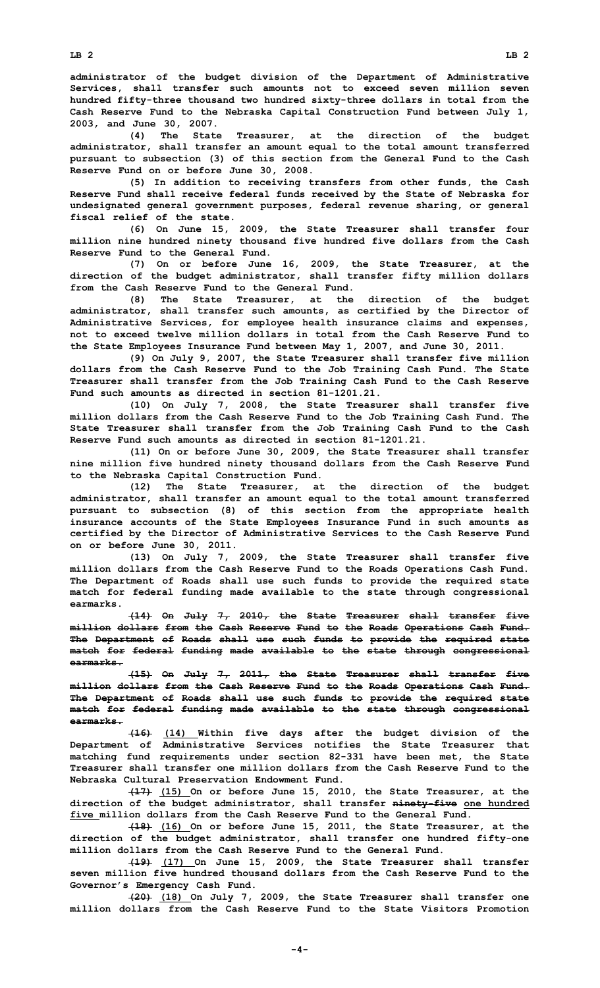**administrator of the budget division of the Department of Administrative Services, shall transfer such amounts not to exceed seven million seven hundred fifty-three thousand two hundred sixty-three dollars in total from the Cash Reserve Fund to the Nebraska Capital Construction Fund between July 1, 2003, and June 30, 2007.**

**(4) The State Treasurer, at the direction of the budget administrator, shall transfer an amount equal to the total amount transferred pursuant to subsection (3) of this section from the General Fund to the Cash Reserve Fund on or before June 30, 2008.**

**(5) In addition to receiving transfers from other funds, the Cash Reserve Fund shall receive federal funds received by the State of Nebraska for undesignated general government purposes, federal revenue sharing, or general fiscal relief of the state.**

**(6) On June 15, 2009, the State Treasurer shall transfer four million nine hundred ninety thousand five hundred five dollars from the Cash Reserve Fund to the General Fund.**

**(7) On or before June 16, 2009, the State Treasurer, at the direction of the budget administrator, shall transfer fifty million dollars from the Cash Reserve Fund to the General Fund.**

**(8) The State Treasurer, at the direction of the budget administrator, shall transfer such amounts, as certified by the Director of Administrative Services, for employee health insurance claims and expenses, not to exceed twelve million dollars in total from the Cash Reserve Fund to the State Employees Insurance Fund between May 1, 2007, and June 30, 2011.**

**(9) On July 9, 2007, the State Treasurer shall transfer five million dollars from the Cash Reserve Fund to the Job Training Cash Fund. The State Treasurer shall transfer from the Job Training Cash Fund to the Cash Reserve Fund such amounts as directed in section 81-1201.21.**

**(10) On July 7, 2008, the State Treasurer shall transfer five million dollars from the Cash Reserve Fund to the Job Training Cash Fund. The State Treasurer shall transfer from the Job Training Cash Fund to the Cash Reserve Fund such amounts as directed in section 81-1201.21.**

**(11) On or before June 30, 2009, the State Treasurer shall transfer nine million five hundred ninety thousand dollars from the Cash Reserve Fund to the Nebraska Capital Construction Fund.**

**(12) The State Treasurer, at the direction of the budget administrator, shall transfer an amount equal to the total amount transferred pursuant to subsection (8) of this section from the appropriate health insurance accounts of the State Employees Insurance Fund in such amounts as certified by the Director of Administrative Services to the Cash Reserve Fund on or before June 30, 2011.**

**(13) On July 7, 2009, the State Treasurer shall transfer five million dollars from the Cash Reserve Fund to the Roads Operations Cash Fund. The Department of Roads shall use such funds to provide the required state match for federal funding made available to the state through congressional earmarks.**

**(14) On July 7, 2010, the State Treasurer shall transfer five million dollars from the Cash Reserve Fund to the Roads Operations Cash Fund. The Department of Roads shall use such funds to provide the required state match for federal funding made available to the state through congressional earmarks.**

**(15) On July 7, 2011, the State Treasurer shall transfer five million dollars from the Cash Reserve Fund to the Roads Operations Cash Fund. The Department of Roads shall use such funds to provide the required state match for federal funding made available to the state through congressional earmarks.**

**(16) (14) Within five days after the budget division of the Department of Administrative Services notifies the State Treasurer that matching fund requirements under section 82-331 have been met, the State Treasurer shall transfer one million dollars from the Cash Reserve Fund to the Nebraska Cultural Preservation Endowment Fund.**

**(17) (15) On or before June 15, 2010, the State Treasurer, at the direction of the budget administrator, shall transfer ninety-five one hundred five million dollars from the Cash Reserve Fund to the General Fund.**

**(18) (16) On or before June 15, 2011, the State Treasurer, at the direction of the budget administrator, shall transfer one hundred fifty-one million dollars from the Cash Reserve Fund to the General Fund.**

**(19) (17) On June 15, 2009, the State Treasurer shall transfer seven million five hundred thousand dollars from the Cash Reserve Fund to the Governor's Emergency Cash Fund.**

**(20) (18) On July 7, 2009, the State Treasurer shall transfer one million dollars from the Cash Reserve Fund to the State Visitors Promotion**